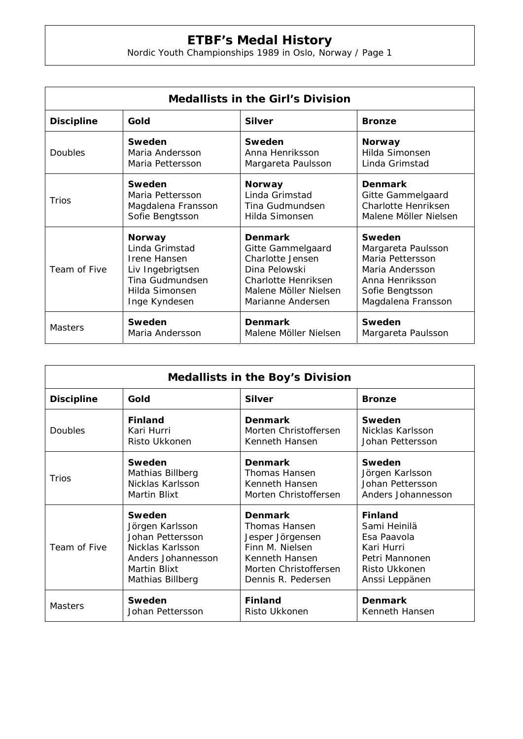## **ETBF's Medal History**

Nordic Youth Championships 1989 in Oslo, Norway / Page 1

| <b>Medallists in the Girl's Division</b> |                    |                       |                       |  |  |
|------------------------------------------|--------------------|-----------------------|-----------------------|--|--|
| <b>Discipline</b>                        | Gold               | <b>Silver</b>         | <b>Bronze</b>         |  |  |
| Doubles                                  | Sweden             | Sweden                | <b>Norway</b>         |  |  |
|                                          | Maria Andersson    | Anna Henriksson       | Hilda Simonsen        |  |  |
|                                          | Maria Pettersson   | Margareta Paulsson    | Linda Grimstad        |  |  |
| Trios                                    | Sweden             | <b>Norway</b>         | <b>Denmark</b>        |  |  |
|                                          | Maria Pettersson   | Linda Grimstad        | Gitte Gammelgaard     |  |  |
|                                          | Magdalena Fransson | Tina Gudmundsen       | Charlotte Henriksen   |  |  |
|                                          | Sofie Bengtsson    | Hilda Simonsen        | Malene Möller Nielsen |  |  |
| Team of Five                             | <b>Norway</b>      | <b>Denmark</b>        | Sweden                |  |  |
|                                          | Linda Grimstad     | Gitte Gammelgaard     | Margareta Paulsson    |  |  |
|                                          | Irene Hansen       | Charlotte Jensen      | Maria Pettersson      |  |  |
|                                          | Liv Ingebrigtsen   | Dina Pelowski         | Maria Andersson       |  |  |
|                                          | Tina Gudmundsen    | Charlotte Henriksen   | Anna Henriksson       |  |  |
|                                          | Hilda Simonsen     | Malene Möller Nielsen | Sofie Bengtsson       |  |  |
|                                          | Inge Kyndesen      | Marianne Andersen     | Magdalena Fransson    |  |  |
| <b>Masters</b>                           | Sweden             | <b>Denmark</b>        | Sweden                |  |  |
|                                          | Maria Andersson    | Malene Möller Nielsen | Margareta Paulsson    |  |  |

| <b>Medallists in the Boy's Division</b> |                    |                       |                    |  |  |
|-----------------------------------------|--------------------|-----------------------|--------------------|--|--|
| <b>Discipline</b>                       | Gold               | <b>Silver</b>         | <b>Bronze</b>      |  |  |
| Doubles                                 | <b>Finland</b>     | <b>Denmark</b>        | Sweden             |  |  |
|                                         | Kari Hurri         | Morten Christoffersen | Nicklas Karlsson   |  |  |
|                                         | Risto Ukkonen      | Kenneth Hansen        | Johan Pettersson   |  |  |
| Trios                                   | Sweden             | <b>Denmark</b>        | Sweden             |  |  |
|                                         | Mathias Billberg   | Thomas Hansen         | Jörgen Karlsson    |  |  |
|                                         | Nicklas Karlsson   | Kenneth Hansen        | Johan Pettersson   |  |  |
|                                         | Martin Blixt       | Morten Christoffersen | Anders Johannesson |  |  |
| Team of Five                            | Sweden             | <b>Denmark</b>        | <b>Finland</b>     |  |  |
|                                         | Jörgen Karlsson    | Thomas Hansen         | Sami Heinilä       |  |  |
|                                         | Johan Pettersson   | Jesper Jörgensen      | Esa Paavola        |  |  |
|                                         | Nicklas Karlsson   | Finn M. Nielsen       | Kari Hurri         |  |  |
|                                         | Anders Johannesson | Kenneth Hansen        | Petri Mannonen     |  |  |
|                                         | Martin Blixt       | Morten Christoffersen | Risto Ukkonen      |  |  |
|                                         | Mathias Billberg   | Dennis R. Pedersen    | Anssi Leppänen     |  |  |
| <b>Masters</b>                          | <b>Sweden</b>      | <b>Finland</b>        | <b>Denmark</b>     |  |  |
|                                         | Johan Pettersson   | Risto Ukkonen         | Kenneth Hansen     |  |  |